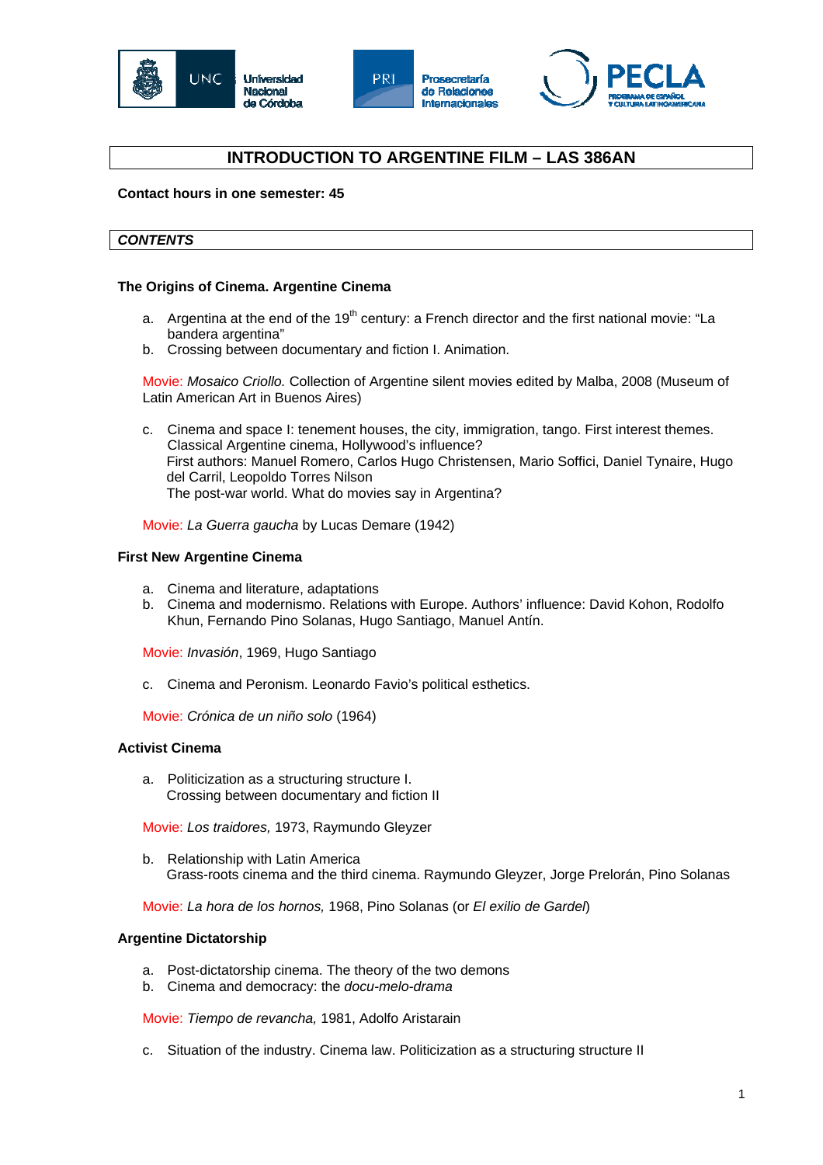





# **INTRODUCTION TO ARGENTINE FILM – LAS 386AN**

**Contact hours in one semester: 45** 

## *CONTENTS*

### **The Origins of Cinema. Argentine Cinema**

- a. Argentina at the end of the 19<sup>th</sup> century: a French director and the first national movie: "La bandera argentina"
- b. Crossing between documentary and fiction I. Animation.

Movie: *Mosaico Criollo.* Collection of Argentine silent movies edited by Malba, 2008 (Museum of Latin American Art in Buenos Aires)

c. Cinema and space I: tenement houses, the city, immigration, tango. First interest themes. Classical Argentine cinema, Hollywood's influence? First authors: Manuel Romero, Carlos Hugo Christensen, Mario Soffici, Daniel Tynaire, Hugo del Carril, Leopoldo Torres Nilson The post-war world. What do movies say in Argentina?

Movie: *La Guerra gaucha* by Lucas Demare (1942)

#### **First New Argentine Cinema**

- a. Cinema and literature, adaptations
- b. Cinema and modernismo. Relations with Europe. Authors' influence: David Kohon, Rodolfo Khun, Fernando Pino Solanas, Hugo Santiago, Manuel Antín.

Movie: *Invasión*, 1969, Hugo Santiago

c. Cinema and Peronism. Leonardo Favio's political esthetics.

Movie: *Crónica de un niño solo* (1964)

### **Activist Cinema**

a. Politicization as a structuring structure I. Crossing between documentary and fiction II

Movie: *Los traidores,* 1973, Raymundo Gleyzer

b. Relationship with Latin America Grass-roots cinema and the third cinema. Raymundo Gleyzer, Jorge Prelorán, Pino Solanas

Movie: *La hora de los hornos,* 1968, Pino Solanas (or *El exilio de Gardel*)

### **Argentine Dictatorship**

- a. Post-dictatorship cinema. The theory of the two demons
- b. Cinema and democracy: the *docu-melo-drama*

Movie: *Tiempo de revancha,* 1981, Adolfo Aristarain

c. Situation of the industry. Cinema law. Politicization as a structuring structure II